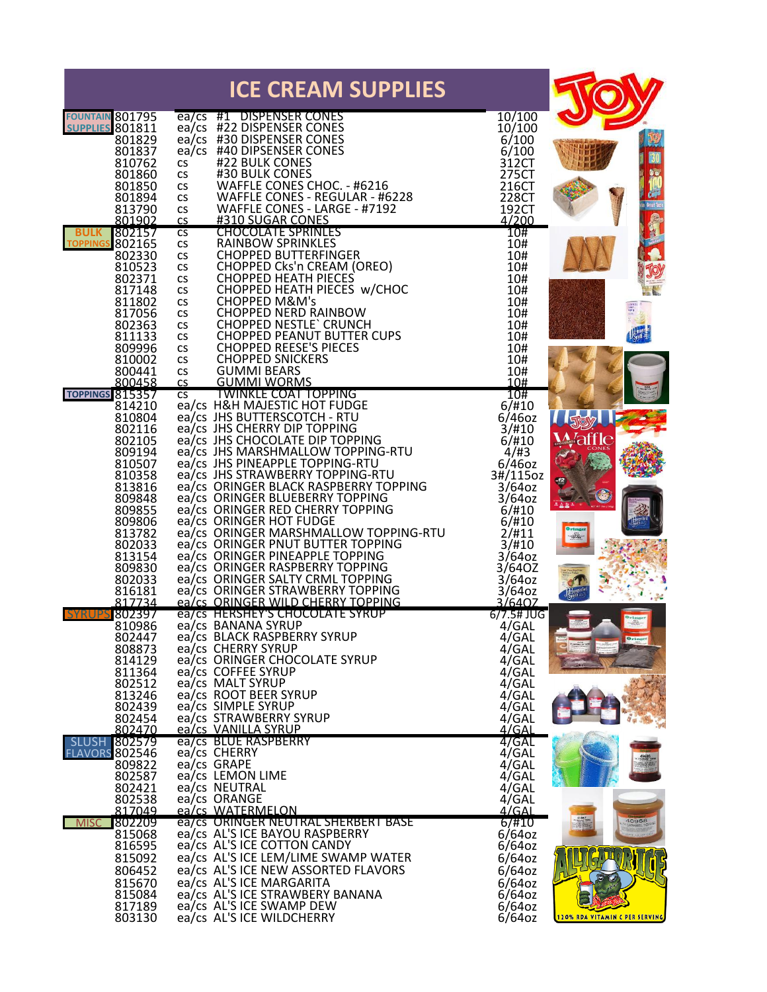| <b>ICE CREAM SUPPLIES</b>                                                                                                                                                                                      |                                                                                                                                                     |
|----------------------------------------------------------------------------------------------------------------------------------------------------------------------------------------------------------------|-----------------------------------------------------------------------------------------------------------------------------------------------------|
| <b>FOUNTAIN 801795</b><br>SUPPLIES 801811<br>ea/cs #1 DISPENSER CONES<br>10/100<br>ea/cs #22 DISPENSER CONES<br>10/100                                                                                         |                                                                                                                                                     |
| 801829<br>ea/cs #30 DISPENSER CONES<br>6/100<br>6/100<br>801837<br>ea/cs #40 DIPSENSER CONES                                                                                                                   | 30                                                                                                                                                  |
| 810762<br>#22 BULK CONES<br>312CT<br><b>CS</b><br>275CT<br>801860<br>#30 BULK CONES<br>$\mathsf{CS}\xspace$<br>WAFFLE CONES CHOC. - #6216<br>216CT<br>801850<br><b>CS</b>                                      | <b>SER</b>                                                                                                                                          |
| 228CT<br>192CT<br>4/200<br>WAFFLE CONES - REGULAR - #6228<br>801894<br>813790<br>$\mathsf{CS}\xspace$<br>WAFFLE CONES - LARGE - #7192<br>$\mathsf{CS}\phantom{0}$                                              | Oreat Tax                                                                                                                                           |
| 801902<br>#310 SUGAR CONES<br><b>CS</b><br>10#<br>802157<br><b>CHOCOLATE SPRINLES</b><br>$\overline{\text{cs}}$<br><b>BULK</b>                                                                                 |                                                                                                                                                     |
| RAINBOW SPRINKLES<br>TOPPINGS 802165<br>10#<br><b>CS</b><br><b>CHOPPED BUTTERFINGER</b><br>10#<br>802330<br><b>CS</b>                                                                                          |                                                                                                                                                     |
| CHOPPED Cks'n CREAM (OREO)<br>10#<br>810523<br><b>CS</b><br>802371<br><b>CHOPPED HEATH PIECES</b><br>10#<br><b>CS</b><br>CHOPPED HEATH PIECES W/CHOC<br>817148<br>10#<br><b>CS</b>                             |                                                                                                                                                     |
| <b>CHOPPED M&amp;M's</b><br>10#<br>811802<br>$\mathsf{CS}\phantom{0}$<br><b>CHOPPED NERD RAINBOW</b><br>817056<br>10#<br><b>CS</b>                                                                             | $\begin{array}{l} \frac{1}{\sqrt{3}} \frac{1}{\sqrt{3}} \frac{1}{\sqrt{3}} \\ \frac{1}{\sqrt{3}} \frac{1}{\sqrt{3}} \frac{1}{\sqrt{3}} \end{array}$ |
| <b>CHOPPED NESTLE' CRUNCH</b><br>10#<br>802363<br>$\mathsf{CS}\xspace$<br><b>CHOPPED PEANUT BUTTER CUPS</b><br>10#<br>811133<br><b>CS</b>                                                                      |                                                                                                                                                     |
| <b>CHOPPED REESE'S PIECES</b><br>809996<br>10#<br><b>CS</b><br>810002<br><b>CHOPPED SNICKERS</b><br>10#<br><b>CS</b>                                                                                           |                                                                                                                                                     |
| <b>GUMMI BEARS</b><br>800441<br>10#<br><b>CS</b><br><b>GUMMI WORMS</b><br>10#<br>800458<br><b>CS</b><br><b>TWINKLE COAT TOPPING</b><br><b>TOPPINGS 815357</b><br>10#<br>$\overline{\text{cs}}$                 |                                                                                                                                                     |
| ea/cs H&H MAJESTIC HOT FUDGE<br>6/#10<br>814210<br>ea/cs JHS BUTTERSCOTCH - RTU<br>810804<br>$6/46$ oz                                                                                                         |                                                                                                                                                     |
| 802116<br>ea/cs JHS CHERRY DIP TOPPING<br>3/#10<br>802105<br>ea/cs JHS CHOCOLATE DIP TOPPING<br>6/#10                                                                                                          |                                                                                                                                                     |
| ea/cs JHS MARSHMALLOW TOPPING-RTU<br>ea/cs JHS PINEAPPLE TOPPING-RTU<br>4/#3<br>809194<br>810507<br>$6/46$ oz                                                                                                  |                                                                                                                                                     |
| ea/cs JHS STRAWBERRY TOPPING-RTU<br>3#/115oz<br>810358<br>ea/cs 3HS STRAWBERRT TOPPING-RTO<br>ea/cs ORINGER BLUERERRY TOPPING<br>813816<br>$3/64$ oz<br>ea/cs ORINGER BLUEBERRY TOPPING<br>809848<br>$3/64$ oz |                                                                                                                                                     |
| ea/cs_ORINGER RED CHERRY TOPPING<br>6/#10<br>809855<br>ea/cs_ORINGER HOT FUDGE<br>809806<br>6/#10                                                                                                              |                                                                                                                                                     |
| ea/cs_ORINGER_MARSHMALLOW_TOPPING-RTU<br>ea/cs_ORINGER_PNUT_BUTTER_TOPPING<br>ea/cs_ORINGER_PINEAPPLE_TOPPING<br>2/#11<br>813782<br>$\frac{d\hat{H}}{d\hat{H}}$<br>3/#10<br>802033                             |                                                                                                                                                     |
| ea/cs ORINGER PINEAPPLE TOPPING<br>813154<br>$3/64$ oz<br>ea/cs_ORINGER RASPBERRY TOPPING<br>809830<br>3/64OZ                                                                                                  |                                                                                                                                                     |
| ea/cs ORINGER SALTY CRML TOPPING<br>802033<br>$3/64$ oz<br>ea/cs_ORINGER STRAWBERRY TOPPING<br>816181<br>$3/64$ oz<br>ea/cs_ORINGER_WILD_CHERRY_TOPPING<br>3/640Z<br>817734                                    |                                                                                                                                                     |
| <b>SYRUPS</b><br>802397<br>ea/cs HERSHEY'S CHOCOLATE SYRUP<br>$6/7.5$ # JUG<br>ea/cs BANANA SYRUP<br>4/GAL<br>810986                                                                                           |                                                                                                                                                     |
| 4/GAL<br>ea/cs BLACK RASPBERRY SYRUP<br>802447<br>ea/cs CHERRY SYRUP<br>808873<br>4/GAL                                                                                                                        |                                                                                                                                                     |
| ea/cs ORINGER CHOCOLATE SYRUP<br>814129<br>4/GAL<br>811364<br>ea/cs COFFEE SYRUP<br>4/GAL                                                                                                                      |                                                                                                                                                     |
| ea/cs MALT SYRUP<br>802512<br>4/GAL<br>ea/cs ROOT BEER SYRUP<br>813246<br>4/GAL<br>ea/cs SIMPLE SYRUP<br>4/GAL<br>802439                                                                                       |                                                                                                                                                     |
| 802454<br>ea/cs STRAWBERRY SYRUP<br>4/GAL<br>4/GAL<br>802470<br>ea/cs_VANILLA SYRUP                                                                                                                            |                                                                                                                                                     |
| ea/cs BLUE RASPBERRY<br>4/GAL<br>SLUSH 802579<br><b>FLAVORS 802546</b><br>ea/cs CHERRY<br>4/GAL                                                                                                                |                                                                                                                                                     |
| 809822<br>ea/cs GRAPE<br>4/GAL<br>ea/cs LEMON LIME<br>4/GAL<br>802587                                                                                                                                          |                                                                                                                                                     |
| ea/cs NEUTRAL<br>4/GAL<br>802421<br>802538<br>ea/cs ORANGE<br>4/GAL<br>4/GAL<br>ea/cs_WATERMELON<br>817049                                                                                                     |                                                                                                                                                     |
| ı<br>ea/cs_ORINGER NEUTRAL SHERBERT BASE<br>6/#10<br><b>MISC</b><br>802209<br>ea/cs AL'S ICE BAYOU RASPBERRY<br>815068<br>$6/64$ oz                                                                            | 40958                                                                                                                                               |
| ea/cs AL'S ICE COTTON CANDY<br>816595<br>$6/64$ oz<br>ea/cs AL'S ICE LEM/LIME SWAMP WATER<br>$6/64$ oz<br>815092                                                                                               |                                                                                                                                                     |
| ea/cs AL'S ICE NEW ASSORTED FLAVORS<br>806452<br>$6/64$ oz<br>ea/cs AL'S ICE MARGARITA<br>815670<br>$6/64$ oz                                                                                                  |                                                                                                                                                     |
| ea/cs AL'S ICE STRAWBERY BANANA<br>815084<br>$6/64$ oz<br>ea/cs AL'S ICE SWAMP DEW<br>$6/64$ oz<br>817189<br>ea/cs AL'S ICE WILDCHERRY<br>$6/64$ oz<br>120% RDA VITAMIN C PER SERVING<br>803130                |                                                                                                                                                     |